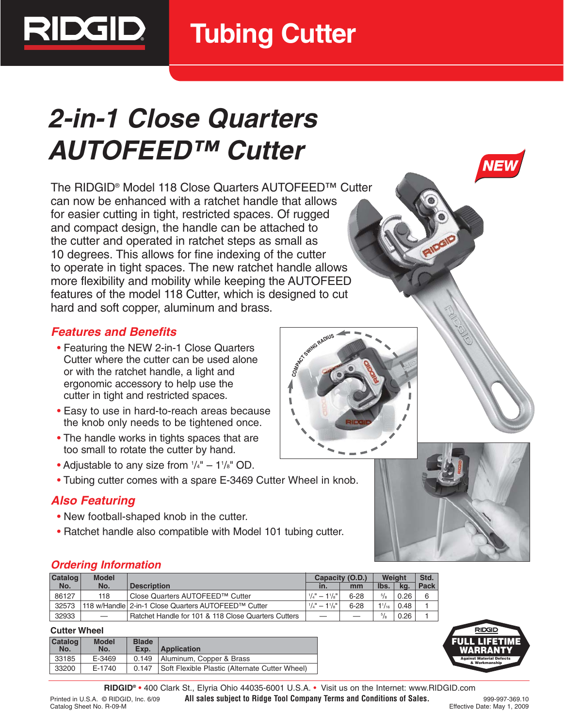

# **2-in-1 Close Quarters AUTOFEED™ Cutter**

The RIDGID® Model 118 Close Quarters AUTOFEED™ Cutter can now be enhanced with a ratchet handle that allows for easier cutting in tight, restricted spaces. Of rugged and compact design, the handle can be attached to the cutter and operated in ratchet steps as small as 10 degrees. This allows for fine indexing of the cutter to operate in tight spaces. The new ratchet handle allows more flexibility and mobility while keeping the AUTOFEED features of the model 118 Cutter, which is designed to cut hard and soft copper, aluminum and brass.

# **Features and Benefits**

**SEIL** 

- Featuring the NEW 2-in-1 Close Quarters Cutter where the cutter can be used alone or with the ratchet handle, a light and ergonomic accessory to help use the cutter in tight and restricted spaces.
- Easy to use in hard-to-reach areas because the knob only needs to be tightened once.
- The handle works in tights spaces that are too small to rotate the cutter by hand.
- Adjustable to any size from  $\frac{1}{4}$ " 1 $\frac{1}{8}$ " OD.
- Tubing cutter comes with a spare E-3469 Cutter Wheel in knob.

# **Also Featuring**

- New football-shaped knob in the cutter.
- Ratchet handle also compatible with Model 101 tubing cutter.

### **Ordering Information**

| <b>Catalog</b> | <b>Model</b>             |                                                     | Capacity (O.D.)                             |          | Weight        |      | Std. |
|----------------|--------------------------|-----------------------------------------------------|---------------------------------------------|----------|---------------|------|------|
| No.            | No.                      | <b>Description</b>                                  | in.                                         | mm       | Ibs.          | ka.  | Pack |
| 86127          | 118                      | Close Quarters AUTOFEED™ Cutter                     | $1/\lambda$ " $- 1/\lambda$ "               | $6 - 28$ | 5/8           | 0.26 |      |
| 32573          |                          | 118 w/Handle 2-in-1 Close Quarters AUTOFEED™ Cutter | $1/4$ <sup>u</sup> - $1^{1/6}$ <sup>u</sup> | $6 - 28$ | $1^{1}/_{16}$ | 0.48 |      |
| 32933          | $\overline{\phantom{m}}$ | Ratchet Handle for 101 & 118 Close Quarters Cutters |                                             |          | 5/8           | 0.26 |      |

#### **Cutter Wheel**

| ---------------                                                      |        |       |                                                |  |  |  |  |
|----------------------------------------------------------------------|--------|-------|------------------------------------------------|--|--|--|--|
| <b>Catalog</b><br><b>Model</b><br><b>Blade</b><br>No.<br>No.<br>Exp. |        |       | <b>Application</b>                             |  |  |  |  |
| 33185                                                                | E-3469 | 0.149 | Aluminum, Copper & Brass                       |  |  |  |  |
| 33200                                                                | E-1740 | 0.147 | Soft Flexible Plastic (Alternate Cutter Wheel) |  |  |  |  |
|                                                                      |        |       |                                                |  |  |  |  |



**RIDGID® •** 400 Clark St., Elyria Ohio 44035-6001 U.S.A. • Visit us on the Internet: www.RIDGID.com Printed in U.S.A. © RIDGID, Inc. 6/09 **All sales subject to Ridge Tool Company Terms and Conditions of Sales.** 999-997-369.10<br>Effective Date: May 1, 2009